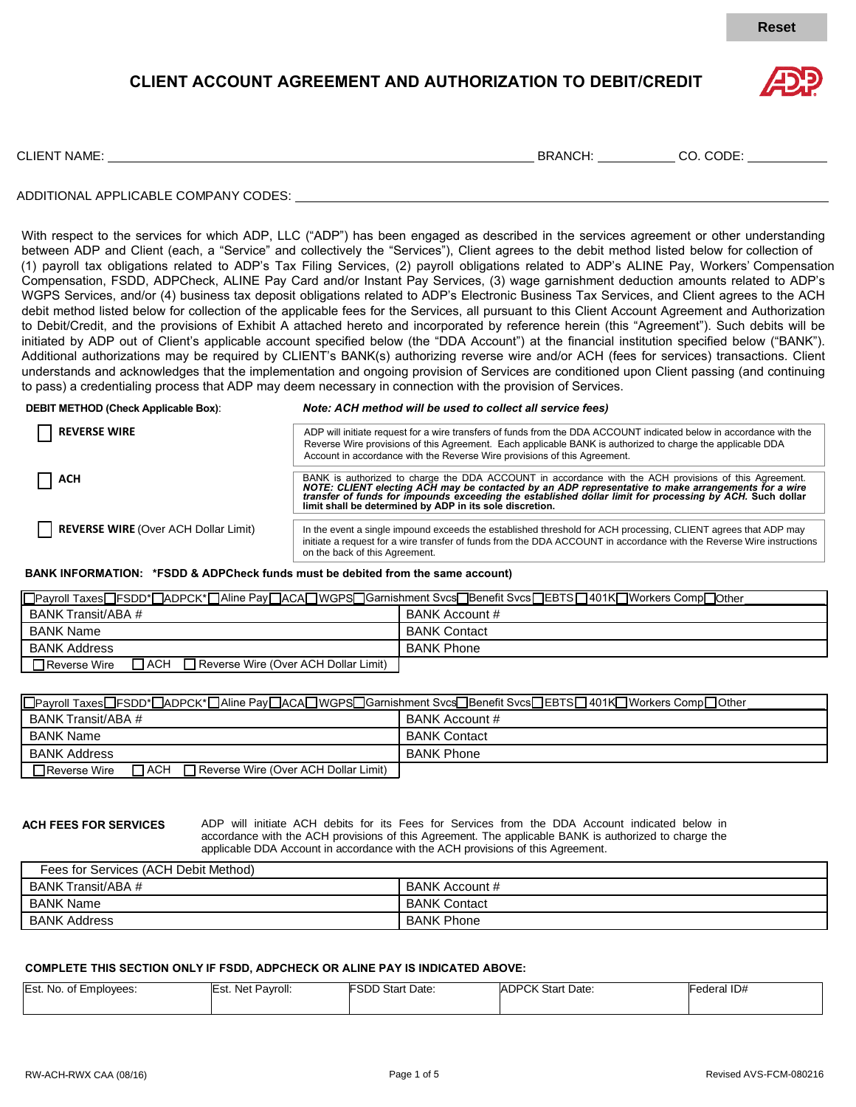

## **CLIENT ACCOUNT AGREEMENT AND AUTHORIZATION TO DEBIT/CREDIT**



CLIENT NAME: BRANCH: CO. CODE:

### ADDITIONAL APPLICABLE COMPANY CODES:

WGPS Services, and/or (4) business tax deposit obligations related to ADP's Electronic Business Tax Services, and Client agrees to the ACH debit method listed below for collection of the applicable fees for the Services, all pursuant to this Client Account Agreement and Authorization p p initiated by ADP out of Client's applicable account specified below (the "DDA Account") at the financial institution specified below ("BANK"). Additional authorizations may be required by CLIENT's BANK(s) authorizing reverse wire and/or ACH (fees for services) transactions. Client With respect to the services for which ADP, LLC ("ADP") has been engaged as described in the services agreement or other understanding between ADP and Client (each, a "Service" and collectively the "Services"), Client agrees to the debit method listed below for collection of (1) payroll tax obligations related to ADP's Tax Filing Services, (2) payroll obligations related to ADP's ALINE Pay, Workers' Compensation Compensation, FSDD, ADPCheck, ALINE Pay Card and/or Instant Pay Services, (3) wage garnishment deduction amounts related to ADP's to Debit/Credit, and the provisions of Exhibit A attached hereto and incorporated by reference herein (this "Agreement"). Such debits will be understands and acknowledges that the implementation and ongoing provision of Services are conditioned upon Client passing (and continuing to pass) a credentialing process that ADP may deem necessary in connection with the provision of Services.

# **ALT METHOD (Chock Applicat**

**DEBIT METHOD (Check Applicable Box)**: *Note: ACH method will be used to collect all service fees)*

| <b>REVERSE WIRE</b>                  | ADP will initiate request for a wire transfers of funds from the DDA ACCOUNT indicated below in accordance with the<br>Reverse Wire provisions of this Agreement. Each applicable BANK is authorized to charge the applicable DDA<br>Account in accordance with the Reverse Wire provisions of this Agreement.                                                                       |
|--------------------------------------|--------------------------------------------------------------------------------------------------------------------------------------------------------------------------------------------------------------------------------------------------------------------------------------------------------------------------------------------------------------------------------------|
| l ACH                                | BANK is authorized to charge the DDA ACCOUNT in accordance with the ACH provisions of this Agreement.<br>NOTE: CLIENT electing ACH may be contacted by an ADP representative to make arrangements for a wire<br>transfer of funds for impounds exceeding the established dollar limit for processing by ACH. Such dollar<br>limit shall be determined by ADP in its sole discretion. |
| REVERSE WIRE (Over ACH Dollar Limit) | In the event a single impound exceeds the established threshold for ACH processing, CLIENT agrees that ADP may<br>initiate a request for a wire transfer of funds from the DDA ACCOUNT in accordance with the Reverse Wire instructions<br>on the back of this Agreement.                                                                                                            |

## **BANK INFORMATION: \*FSDD & ADPCheck funds must be debited from the same account)** f f

| □Payroll Taxes□FSDD*□ADPCK*□Aline Pay□ACA□WGPS□Garnishment Svcs□Benefit Svcs□EBTS□401K□Workers Comp□Other |                     |  |  |
|-----------------------------------------------------------------------------------------------------------|---------------------|--|--|
| BANK Transit/ABA #                                                                                        | BANK Account #      |  |  |
| BANK Name                                                                                                 | <b>BANK Contact</b> |  |  |
| <b>BANK Address</b>                                                                                       | <b>BANK Phone</b>   |  |  |
| ⅂ѦСҤ<br>Reverse Wire (Over ACH Dollar Limit)<br>Reverse Wire                                              |                     |  |  |

| OPayroll TaxesOFSDD*OADPCK*OAline PayOACAOWGPSOGarnishment SvcsOBenefit SvcsOEBTSO401KOWorkers CompOOther |                     |  |  |
|-----------------------------------------------------------------------------------------------------------|---------------------|--|--|
| BANK Transit/ABA #                                                                                        | BANK Account #      |  |  |
| BANK Name                                                                                                 | <b>BANK Contact</b> |  |  |
| <b>BANK Address</b>                                                                                       | <b>BANK Phone</b>   |  |  |
| $\sqcap$ ACH $\Box$<br>$\Box$ Reverse Wire<br>Reverse Wire (Over ACH Dollar Limit)                        |                     |  |  |

u

m

m

ADP will initiate ACH debits for its Fees for Services from the DDA Account indicated below in accordance with the ACH provisions of this Agreement. The applicable BANK is authorized to charge the applicable DDA Account in accordance with the ACH provisions of this Agreement.

| Fees for Services (ACH Debit Method) |                       |
|--------------------------------------|-----------------------|
| BANK Transit/ABA #                   | <b>BANK Account #</b> |
| BANK Name                            | <b>BANK Contact</b>   |
| <b>BANK Address</b>                  | <b>BANK Phone</b>     |

## **COMPLETE THIS SECTION ONLY IF FSDD, ADPCHECK OR ALINE PAY IS INDICATED ABOVE:** o o

| Est. No. of Employees: | Est.<br>Net<br>Pavroll: | <b>FSDD Start Date:</b> | <b>ADPCK Start Date:</b> | Federal ID# |
|------------------------|-------------------------|-------------------------|--------------------------|-------------|
|                        |                         |                         |                          |             |
|                        |                         |                         |                          |             |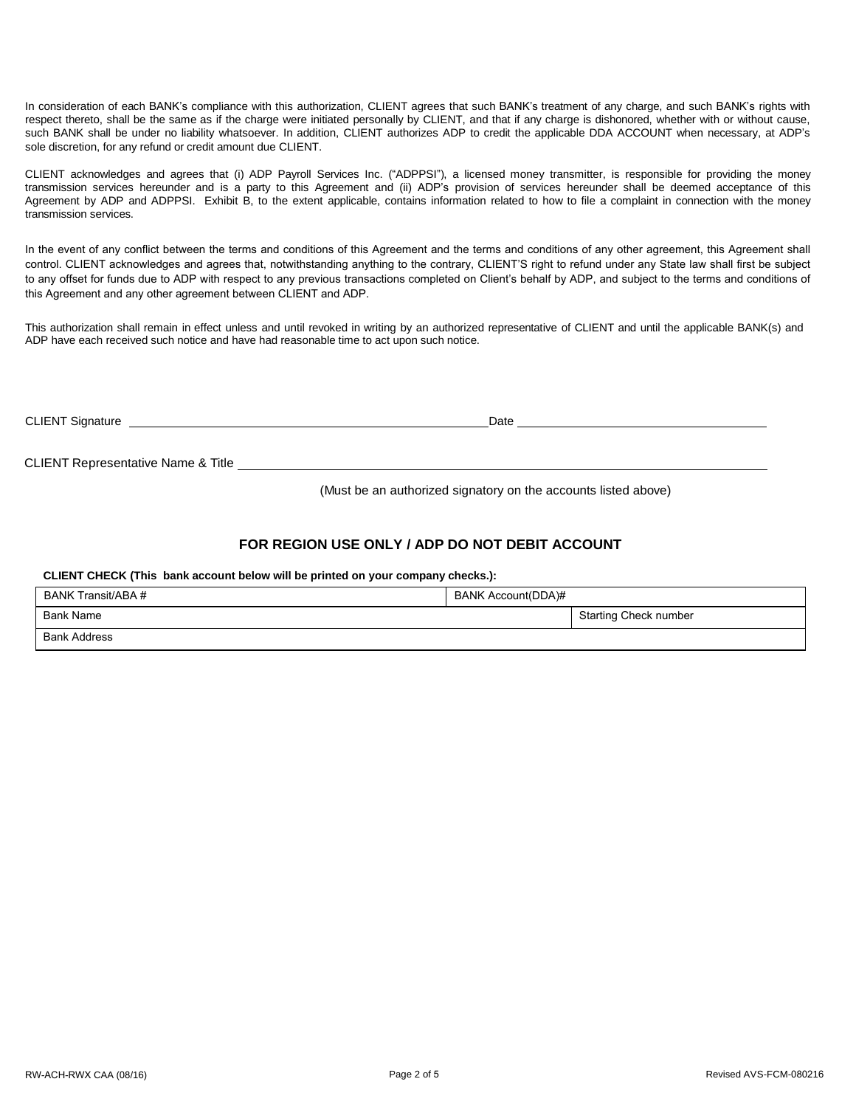In consideration of each BANK's compliance with this authorization, CLIENT agrees that such BANK's treatment of any charge, and such BANK's rights with respect thereto, shall be the same as if the charge were initiated personally by CLIENT, and that if any charge is dishonored, whether with or without cause, such BANK shall be under no liability whatsoever. In addition, CLIENT authorizes ADP to credit the applicable DDA ACCOUNT when necessary, at ADP's sole discretion, for any refund or credit amount due CLIENT.

CLIENT acknowledges and agrees that (i) ADP Payroll Services Inc. ("ADPPSI"), a licensed money transmitter, is responsible for providing the money transmission services hereunder and is a party to this Agreement and (ii) ADP's provision of services hereunder shall be deemed acceptance of this Agreement by ADP and ADPPSI. Exhibit B, to the extent applicable, contains information related to how to file a complaint in connection with the money transmission services.

In the event of any conflict between the terms and conditions of this Agreement and the terms and conditions of any other agreement, this Agreement shall control. CLIENT acknowledges and agrees that, notwithstanding anything to the contrary, CLIENT'S right to refund under any State law shall first be subject to any offset for funds due to ADP with respect to any previous transactions completed on Client's behalf by ADP, and subject to the terms and conditions of this Agreement and any other agreement between CLIENT and ADP.

This authorization shall remain in effect unless and until revoked in writing by an authorized representative of CLIENT and until the applicable BANK(s) and ADP have each received such notice and have had reasonable time to act upon such notice.

CLIENT Signature Date

CLIENT Representative Name & Title

(Must be an authorized signatory on the accounts listed above)

## **FOR REGION USE ONLY / ADP DO NOT DEBIT ACCOUNT**

**CLIENT CHECK (This bank account below will be printed on your company checks.):** 

| BANK Transit/ABA #  | BANK Account(DDA)# |                       |  |
|---------------------|--------------------|-----------------------|--|
| Bank Name           |                    | Starting Check number |  |
| <b>Bank Address</b> |                    |                       |  |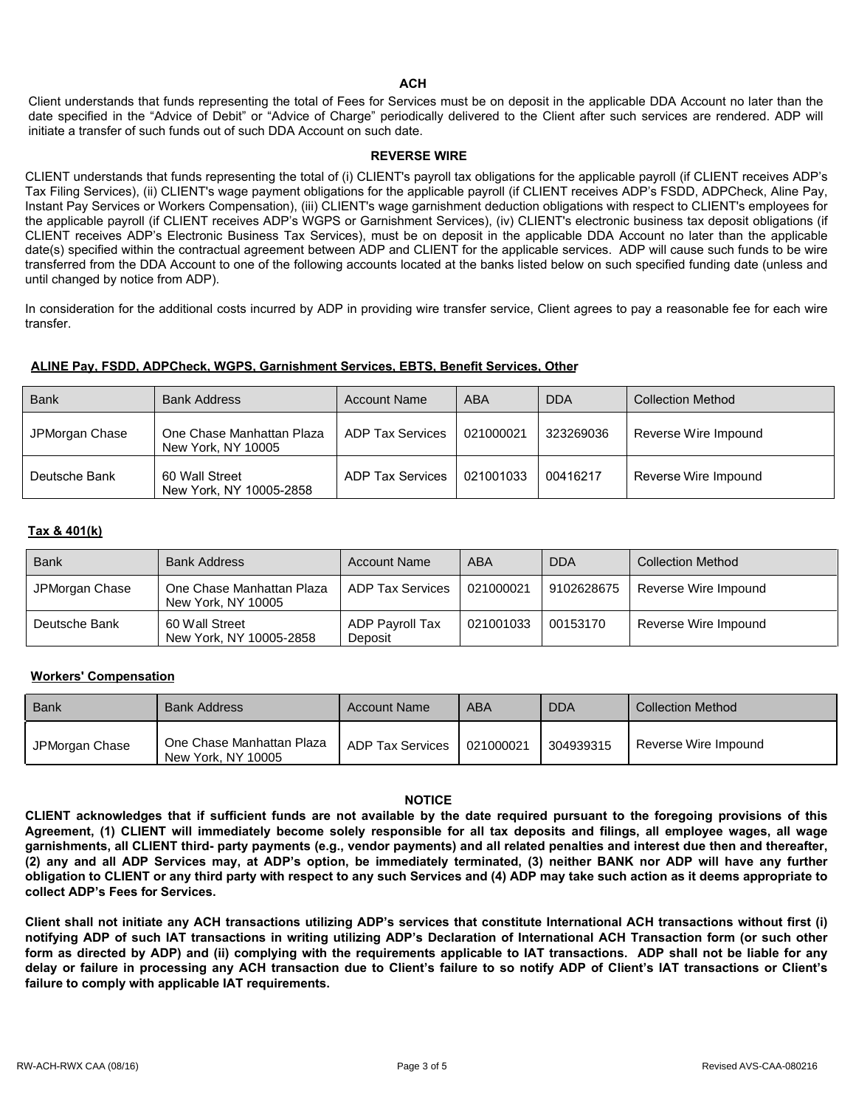#### **ACH**

Client understands that funds representing the total of Fees for Services must be on deposit in the applicable DDA Account no later than the date specified in the "Advice of Debit" or "Advice of Charge" periodically delivered to the Client after such services are rendered. ADP will initiate a transfer of such funds out of such DDA Account on such date.

#### **REVERSE WIRE**

CLIENT understands that funds representing the total of (i) CLIENT's payroll tax obligations for the applicable payroll (if CLIENT receives ADP's Tax Filing Services), (ii) CLIENT's wage payment obligations for the applicable payroll (if CLIENT receives ADP's FSDD, ADPCheck, Aline Pay, Instant Pay Services or Workers Compensation), (iii) CLIENT's wage garnishment deduction obligations with respect to CLIENT's employees for the applicable payroll (if CLIENT receives ADP's WGPS or Garnishment Services), (iv) CLIENT's electronic business tax deposit obligations (if CLIENT receives ADP's Electronic Business Tax Services), must be on deposit in the applicable DDA Account no later than the applicable date(s) specified within the contractual agreement between ADP and CLIENT for the applicable services. ADP will cause such funds to be wire transferred from the DDA Account to one of the following accounts located at the banks listed below on such specified funding date (unless and until changed by notice from ADP).

In consideration for the additional costs incurred by ADP in providing wire transfer service, Client agrees to pay a reasonable fee for each wire transfer.

### **ALINE Pay, FSDD, ADPCheck, WGPS, Garnishment Services, EBTS, Benefit Services, Other**

| <b>Bank</b>    | <b>Bank Address</b>                             | <b>Account Name</b>     | ABA       | <b>DDA</b> | <b>Collection Method</b> |
|----------------|-------------------------------------------------|-------------------------|-----------|------------|--------------------------|
| JPMorgan Chase | One Chase Manhattan Plaza<br>New York, NY 10005 | ADP Tax Services        | 021000021 | 323269036  | Reverse Wire Impound     |
| Deutsche Bank  | 60 Wall Street<br>New York, NY 10005-2858       | <b>ADP Tax Services</b> | 021001033 | 00416217   | Reverse Wire Impound     |

## **Tax & 401(k)**

| <b>Bank</b>    | <b>Bank Address</b>                             | <b>Account Name</b>        | ABA       | <b>DDA</b> | <b>Collection Method</b> |
|----------------|-------------------------------------------------|----------------------------|-----------|------------|--------------------------|
| JPMorgan Chase | One Chase Manhattan Plaza<br>New York, NY 10005 | ADP Tax Services           | 021000021 | 9102628675 | Reverse Wire Impound     |
| Deutsche Bank  | 60 Wall Street<br>New York, NY 10005-2858       | ADP Payroll Tax<br>Deposit | 021001033 | 00153170   | Reverse Wire Impound     |

### **Workers' Compensation**

| <b>Bank</b>    | <b>Bank Address</b>                             | <b>Account Name</b> | ABA       | <b>DDA</b> | <b>Collection Method</b> |
|----------------|-------------------------------------------------|---------------------|-----------|------------|--------------------------|
| JPMorgan Chase | One Chase Manhattan Plaza<br>New York, NY 10005 | ADP Tax Services    | 021000021 | 304939315  | Reverse Wire Impound     |

### **NOTICE**

**CLIENT acknowledges that if sufficient funds are not available by the date required pursuant to the foregoing provisions of this Agreement, (1) CLIENT will immediately become solely responsible for all tax deposits and filings, all employee wages, all wage garnishments, all CLIENT third- party payments (e.g., vendor payments) and all related penalties and interest due then and thereafter, (2) any and all ADP Services may, at ADP's option, be immediately terminated, (3) neither BANK nor ADP will have any further obligation to CLIENT or any third party with respect to any such Services and (4) ADP may take such action as it deems appropriate to collect ADP's Fees for Services.** 

**Client shall not initiate any ACH transactions utilizing ADP's services that constitute International ACH transactions without first (i) notifying ADP of such IAT transactions in writing utilizing ADP's Declaration of International ACH Transaction form (or such other form as directed by ADP) and (ii) complying with the requirements applicable to IAT transactions. ADP shall not be liable for any delay or failure in processing any ACH transaction due to Client's failure to so notify ADP of Client's IAT transactions or Client's failure to comply with applicable IAT requirements.**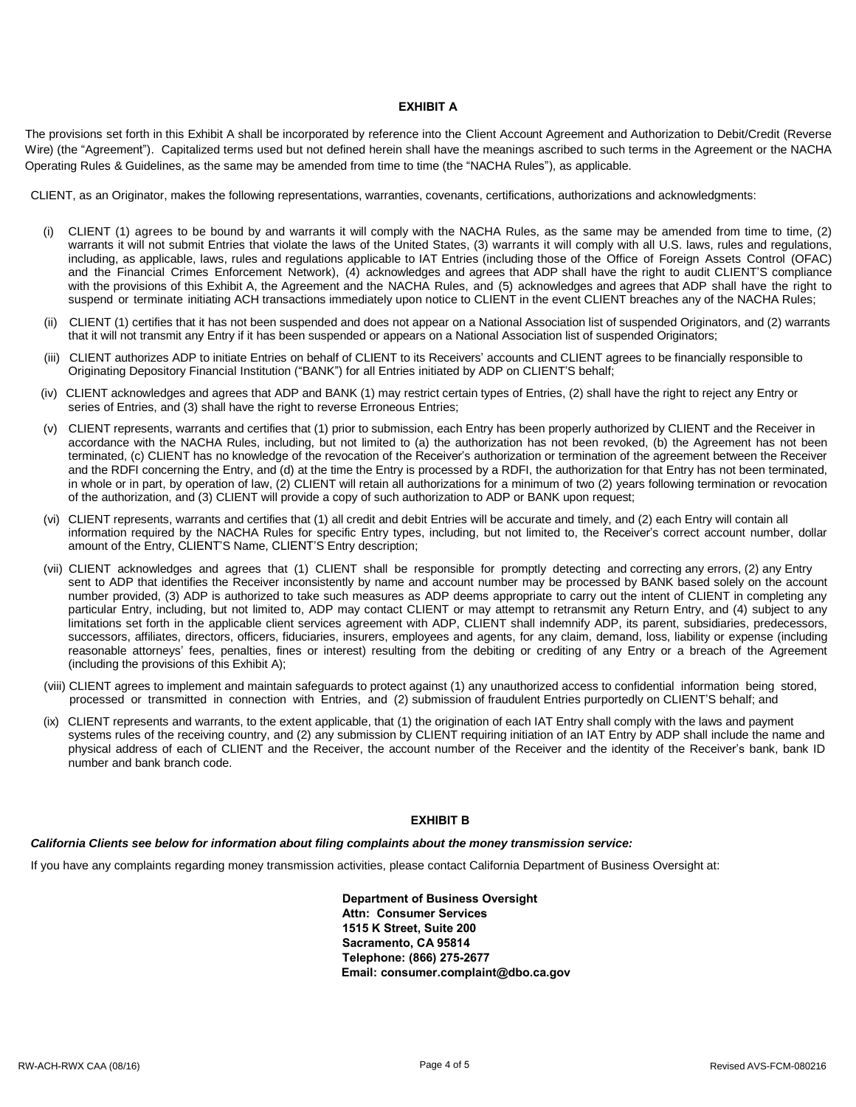#### **EXHIBIT A**

The provisions set forth in this Exhibit A shall be incorporated by reference into the Client Account Agreement and Authorization to Debit/Credit (Reverse Wire) (the "Agreement"). Capitalized terms used but not defined herein shall have the meanings ascribed to such terms in the Agreement or the NACHA Operating Rules & Guidelines, as the same may be amended from time to time (the "NACHA Rules"), as applicable.

CLIENT, as an Originator, makes the following representations, warranties, covenants, certifications, authorizations and acknowledgments:

- (i) CLIENT (1) agrees to be bound by and warrants it will comply with the NACHA Rules, as the same may be amended from time to time, (2) warrants it will not submit Entries that violate the laws of the United States, (3) warrants it will comply with all U.S. laws, rules and regulations, including, as applicable, laws, rules and regulations applicable to IAT Entries (including those of the Office of Foreign Assets Control (OFAC) and the Financial Crimes Enforcement Network), (4) acknowledges and agrees that ADP shall have the right to audit CLIENT'S compliance with the provisions of this Exhibit A, the Agreement and the NACHA Rules, and (5) acknowledges and agrees that ADP shall have the right to suspend or terminate initiating ACH transactions immediately upon notice to CLIENT in the event CLIENT breaches any of the NACHA Rules;
- (ii) CLIENT (1) certifies that it has not been suspended and does not appear on a National Association list of suspended Originators, and (2) warrants that it will not transmit any Entry if it has been suspended or appears on a National Association list of suspended Originators;
- (iii) CLIENT authorizes ADP to initiate Entries on behalf of CLIENT to its Receivers' accounts and CLIENT agrees to be financially responsible to Originating Depository Financial Institution ("BANK") for all Entries initiated by ADP on CLIENT'S behalf;
- (iv) CLIENT acknowledges and agrees that ADP and BANK (1) may restrict certain types of Entries, (2) shall have the right to reject any Entry or series of Entries, and (3) shall have the right to reverse Erroneous Entries;
- (v) CLIENT represents, warrants and certifies that (1) prior to submission, each Entry has been properly authorized by CLIENT and the Receiver in accordance with the NACHA Rules, including, but not limited to (a) the authorization has not been revoked, (b) the Agreement has not been terminated, (c) CLIENT has no knowledge of the revocation of the Receiver's authorization or termination of the agreement between the Receiver and the RDFI concerning the Entry, and (d) at the time the Entry is processed by a RDFI, the authorization for that Entry has not been terminated, in whole or in part, by operation of law, (2) CLIENT will retain all authorizations for a minimum of two (2) years following termination or revocation of the authorization, and (3) CLIENT will provide a copy of such authorization to ADP or BANK upon request;
- (vi) CLIENT represents, warrants and certifies that (1) all credit and debit Entries will be accurate and timely, and (2) each Entry will contain all information required by the NACHA Rules for specific Entry types, including, but not limited to, the Receiver's correct account number, dollar amount of the Entry, CLIENT'S Name, CLIENT'S Entry description;
- (vii) CLIENT acknowledges and agrees that (1) CLIENT shall be responsible for promptly detecting and correcting any errors, (2) any Entry sent to ADP that identifies the Receiver inconsistently by name and account number may be processed by BANK based solely on the account number provided, (3) ADP is authorized to take such measures as ADP deems appropriate to carry out the intent of CLIENT in completing any particular Entry, including, but not limited to, ADP may contact CLIENT or may attempt to retransmit any Return Entry, and (4) subject to any limitations set forth in the applicable client services agreement with ADP, CLIENT shall indemnify ADP, its parent, subsidiaries, predecessors, successors, affiliates, directors, officers, fiduciaries, insurers, employees and agents, for any claim, demand, loss, liability or expense (including reasonable attorneys' fees, penalties, fines or interest) resulting from the debiting or crediting of any Entry or a breach of the Agreement (including the provisions of this Exhibit A);
- (viii) CLIENT agrees to implement and maintain safeguards to protect against (1) any unauthorized access to confidential information being stored, processed or transmitted in connection with Entries, and (2) submission of fraudulent Entries purportedly on CLIENT'S behalf; and
- (ix) CLIENT represents and warrants, to the extent applicable, that (1) the origination of each IAT Entry shall comply with the laws and payment systems rules of the receiving country, and (2) any submission by CLIENT requiring initiation of an IAT Entry by ADP shall include the name and physical address of each of CLIENT and the Receiver, the account number of the Receiver and the identity of the Receiver's bank, bank ID number and bank branch code.

#### **EXHIBIT B**

#### *California Clients see below for information about filing complaints about the money transmission service:*

If you have any complaints regarding money transmission activities, please contact California Department of Business Oversight at:

**Department of Business Oversight Attn: Consumer Services 1515 K Street, Suite 200 Sacramento, CA 95814 Telephone: (866) 275-2677 Email: [consumer.complaint@dbo.ca.gov](mailto:consumer.complaint@dbo.ca.gov)**